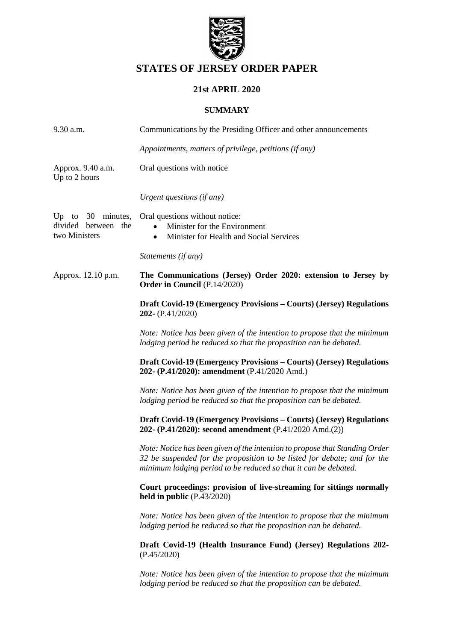

# **STATES OF JERSEY ORDER PAPER**

# **21st APRIL 2020**

# **SUMMARY**

| 9.30 a.m.                                                   | Communications by the Presiding Officer and other announcements                                                                                                                                                            |
|-------------------------------------------------------------|----------------------------------------------------------------------------------------------------------------------------------------------------------------------------------------------------------------------------|
|                                                             | Appointments, matters of privilege, petitions (if any)                                                                                                                                                                     |
| Approx. 9.40 a.m.<br>Up to 2 hours                          | Oral questions with notice                                                                                                                                                                                                 |
|                                                             | Urgent questions (if any)                                                                                                                                                                                                  |
| Up to $30$ minutes,<br>divided between the<br>two Ministers | Oral questions without notice:<br>Minister for the Environment<br>Minister for Health and Social Services<br>$\bullet$                                                                                                     |
|                                                             | Statements (if any)                                                                                                                                                                                                        |
| Approx. 12.10 p.m.                                          | The Communications (Jersey) Order 2020: extension to Jersey by<br><b>Order in Council</b> (P.14/2020)                                                                                                                      |
|                                                             | Draft Covid-19 (Emergency Provisions – Courts) (Jersey) Regulations<br>202- $(P.41/2020)$                                                                                                                                  |
|                                                             | Note: Notice has been given of the intention to propose that the minimum<br>lodging period be reduced so that the proposition can be debated.                                                                              |
|                                                             | Draft Covid-19 (Emergency Provisions – Courts) (Jersey) Regulations<br>202- (P.41/2020): amendment (P.41/2020 Amd.)                                                                                                        |
|                                                             | Note: Notice has been given of the intention to propose that the minimum<br>lodging period be reduced so that the proposition can be debated.                                                                              |
|                                                             | Draft Covid-19 (Emergency Provisions – Courts) (Jersey) Regulations<br>202- (P.41/2020): second amendment (P.41/2020 Amd.(2))                                                                                              |
|                                                             | Note: Notice has been given of the intention to propose that Standing Order<br>32 be suspended for the proposition to be listed for debate; and for the<br>minimum lodging period to be reduced so that it can be debated. |
|                                                             | Court proceedings: provision of live-streaming for sittings normally<br>held in public $(P.43/2020)$                                                                                                                       |
|                                                             | Note: Notice has been given of the intention to propose that the minimum<br>lodging period be reduced so that the proposition can be debated.                                                                              |
|                                                             | Draft Covid-19 (Health Insurance Fund) (Jersey) Regulations 202-<br>(P.45/2020)                                                                                                                                            |
|                                                             | Note: Notice has been given of the intention to propose that the minimum<br>lodging period be reduced so that the proposition can be debated.                                                                              |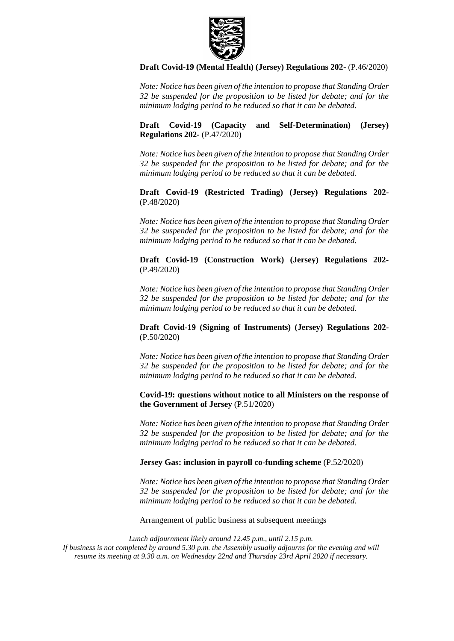

## **[Draft Covid-19 \(Mental Health\) \(Jersey\) Regulations 202-](https://statesassembly.gov.je/AssemblyPropositions/2020/P.46-2020.pdf)** (P.46/2020)

*Note: Notice has been given of the intention to propose that Standing Order 32 be suspended for the proposition to be listed for debate; and for the minimum lodging period to be reduced so that it can be debated.*

**[Draft Covid-19 \(Capacity and Self-Determination\) \(Jersey\)](https://statesassembly.gov.je/AssemblyPropositions/2020/P.47-2020.pdf)  [Regulations 202-](https://statesassembly.gov.je/AssemblyPropositions/2020/P.47-2020.pdf)** (P.47/2020)

*Note: Notice has been given of the intention to propose that Standing Order 32 be suspended for the proposition to be listed for debate; and for the minimum lodging period to be reduced so that it can be debated.*

**[Draft Covid-19 \(Restricted Trading\) \(Jersey\) Regulations 202-](https://statesassembly.gov.je/AssemblyPropositions/2020/P.48-2020.pdf)** [\(P.48/2020\)](https://statesassembly.gov.je/AssemblyPropositions/2020/P.48-2020.pdf) 

*Note: Notice has been given of the intention to propose that Standing Order 32 be suspended for the proposition to be listed for debate; and for the minimum lodging period to be reduced so that it can be debated.*

**[Draft Covid-19 \(Construction Work\) \(Jersey\) Regulations 202-](https://statesassembly.gov.je/AssemblyPropositions/2020/P.49-2020.pdf)** [\(P.49/2020\)](https://statesassembly.gov.je/AssemblyPropositions/2020/P.49-2020.pdf) 

*Note: Notice has been given of the intention to propose that Standing Order 32 be suspended for the proposition to be listed for debate; and for the minimum lodging period to be reduced so that it can be debated.*

**[Draft Covid-19 \(Signing of Instruments\) \(Jersey\) Regulations 202-](https://statesassembly.gov.je/AssemblyPropositions/2020/P.50-2020.pdf)** [\(P.50/2020\)](https://statesassembly.gov.je/AssemblyPropositions/2020/P.50-2020.pdf) 

*Note: Notice has been given of the intention to propose that Standing Order 32 be suspended for the proposition to be listed for debate; and for the minimum lodging period to be reduced so that it can be debated.*

**[Covid-19: questions without notice to all Ministers on the response of](https://statesassembly.gov.je/AssemblyPropositions/2020/P.51-2020.pdf)  [the Government of Jersey](https://statesassembly.gov.je/AssemblyPropositions/2020/P.51-2020.pdf)** (P.51/2020)

*Note: Notice has been given of the intention to propose that Standing Order 32 be suspended for the proposition to be listed for debate; and for the minimum lodging period to be reduced so that it can be debated.*

**[Jersey Gas: inclusion in payroll co-funding scheme](https://statesassembly.gov.je/AssemblyPropositions/2020/P.52-2020.pdf)** (P.52/2020)

*Note: Notice has been given of the intention to propose that Standing Order 32 be suspended for the proposition to be listed for debate; and for the minimum lodging period to be reduced so that it can be debated.*

Arrangement of public business at subsequent meetings

*Lunch adjournment likely around 12.45 p.m., until 2.15 p.m. If business is not completed by around 5.30 p.m. the Assembly usually adjourns for the evening and will resume its meeting at 9.30 a.m. on Wednesday 22nd and Thursday 23rd April 2020 if necessary.*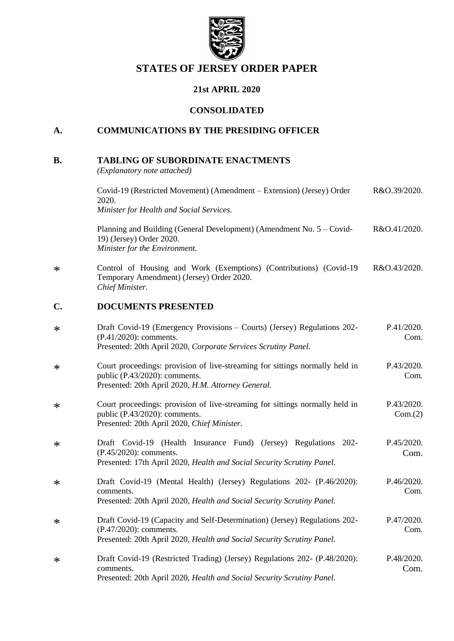

# **STATES OF JERSEY ORDER PAPER**

# **21st APRIL 2020**

# **CONSOLIDATED**

# **A. COMMUNICATIONS BY THE PRESIDING OFFICER**

## **B. TABLING OF SUBORDINATE ENACTMENTS**

*(Explanatory note attached)*

|        | Covid-19 (Restricted Movement) (Amendment – Extension) (Jersey) Order<br>2020.<br>Minister for Health and Social Services.                                                     | R&O.39/2020.          |
|--------|--------------------------------------------------------------------------------------------------------------------------------------------------------------------------------|-----------------------|
|        | Planning and Building (General Development) (Amendment No. 5 – Covid-<br>19) (Jersey) Order 2020.<br>Minister for the Environment.                                             | R&O.41/2020.          |
| $\ast$ | Control of Housing and Work (Exemptions) (Contributions) (Covid-19<br>Temporary Amendment) (Jersey) Order 2020.<br>Chief Minister.                                             | R&O.43/2020.          |
| C.     | <b>DOCUMENTS PRESENTED</b>                                                                                                                                                     |                       |
| $\ast$ | Draft Covid-19 (Emergency Provisions – Courts) (Jersey) Regulations 202-<br>$(P.41/2020)$ : comments.<br>Presented: 20th April 2020, Corporate Services Scrutiny Panel.        | P.41/2020.<br>Com.    |
| $\ast$ | Court proceedings: provision of live-streaming for sittings normally held in<br>public (P.43/2020): comments.<br>Presented: 20th April 2020, H.M. Attorney General.            | P.43/2020.<br>Com.    |
| $\ast$ | Court proceedings: provision of live-streaming for sittings normally held in<br>public (P.43/2020): comments.<br>Presented: 20th April 2020, Chief Minister.                   | P.43/2020.<br>Com.(2) |
| $\ast$ | Draft Covid-19 (Health Insurance Fund) (Jersey) Regulations 202-<br>(P.45/2020): comments.<br>Presented: 17th April 2020, Health and Social Security Scrutiny Panel.           | P.45/2020.<br>Com.    |
| $\ast$ | Draft Covid-19 (Mental Health) (Jersey) Regulations 202- (P.46/2020):<br>comments.<br>Presented: 20th April 2020, Health and Social Security Scrutiny Panel.                   | P.46/2020.<br>Com.    |
| ∗      | Draft Covid-19 (Capacity and Self-Determination) (Jersey) Regulations 202-<br>(P.47/2020): comments.<br>Presented: 20th April 2020, Health and Social Security Scrutiny Panel. | P.47/2020.<br>Com.    |
| ∗      | Draft Covid-19 (Restricted Trading) (Jersey) Regulations 202- (P.48/2020):<br>comments.<br>Presented: 20th April 2020, Health and Social Security Scrutiny Panel.              | P.48/2020.<br>Com.    |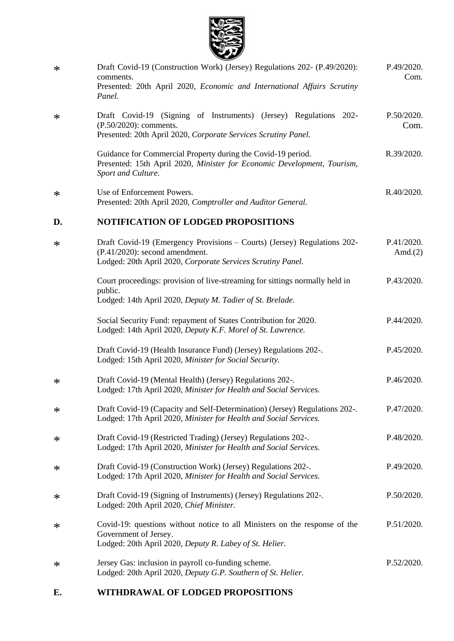

| $\ast$ | Draft Covid-19 (Construction Work) (Jersey) Regulations 202- (P.49/2020):<br>comments.<br>Presented: 20th April 2020, Economic and International Affairs Scrutiny<br>Panel.  | P.49/2020.<br>Com.       |
|--------|------------------------------------------------------------------------------------------------------------------------------------------------------------------------------|--------------------------|
| $\ast$ | Draft Covid-19 (Signing of Instruments) (Jersey) Regulations 202-<br>(P.50/2020): comments.<br>Presented: 20th April 2020, Corporate Services Scrutiny Panel.                | P.50/2020.<br>Com.       |
|        | Guidance for Commercial Property during the Covid-19 period.<br>Presented: 15th April 2020, Minister for Economic Development, Tourism,<br>Sport and Culture.                | R.39/2020.               |
| ∗      | Use of Enforcement Powers.<br>Presented: 20th April 2020, Comptroller and Auditor General.                                                                                   | R.40/2020.               |
| D.     | <b>NOTIFICATION OF LODGED PROPOSITIONS</b>                                                                                                                                   |                          |
| $\ast$ | Draft Covid-19 (Emergency Provisions – Courts) (Jersey) Regulations 202-<br>$(P.41/2020)$ : second amendment.<br>Lodged: 20th April 2020, Corporate Services Scrutiny Panel. | P.41/2020.<br>Amd. $(2)$ |
|        | Court proceedings: provision of live-streaming for sittings normally held in<br>public.<br>Lodged: 14th April 2020, Deputy M. Tadier of St. Brelade.                         | P.43/2020.               |
|        | Social Security Fund: repayment of States Contribution for 2020.<br>Lodged: 14th April 2020, Deputy K.F. Morel of St. Lawrence.                                              | P.44/2020.               |
|        | Draft Covid-19 (Health Insurance Fund) (Jersey) Regulations 202-.<br>Lodged: 15th April 2020, Minister for Social Security.                                                  | P.45/2020.               |
| $\ast$ | Draft Covid-19 (Mental Health) (Jersey) Regulations 202-.<br>Lodged: 17th April 2020, Minister for Health and Social Services.                                               | P.46/2020.               |
| ∗      | Draft Covid-19 (Capacity and Self-Determination) (Jersey) Regulations 202-.<br>Lodged: 17th April 2020, Minister for Health and Social Services.                             | P.47/2020.               |
| ∗      | Draft Covid-19 (Restricted Trading) (Jersey) Regulations 202-.<br>Lodged: 17th April 2020, Minister for Health and Social Services.                                          | P.48/2020.               |
| ∗      | Draft Covid-19 (Construction Work) (Jersey) Regulations 202-.<br>Lodged: 17th April 2020, Minister for Health and Social Services.                                           | P.49/2020.               |
| ∗      | Draft Covid-19 (Signing of Instruments) (Jersey) Regulations 202-.<br>Lodged: 20th April 2020, Chief Minister.                                                               | P.50/2020.               |
| ∗      | Covid-19: questions without notice to all Ministers on the response of the<br>Government of Jersey.<br>Lodged: 20th April 2020, Deputy R. Labey of St. Helier.               | P.51/2020.               |
| ∗      | Jersey Gas: inclusion in payroll co-funding scheme.<br>Lodged: 20th April 2020, Deputy G.P. Southern of St. Helier.                                                          | P.52/2020.               |

# **E. WITHDRAWAL OF LODGED PROPOSITIONS**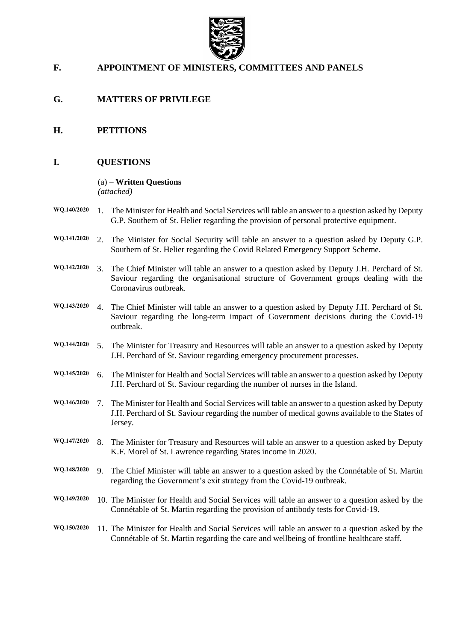

# **F. APPOINTMENT OF MINISTERS, COMMITTEES AND PANELS**

- **G. MATTERS OF PRIVILEGE**
- **H. PETITIONS**

# **I. QUESTIONS**

#### (a) – **Written Questions** *(attached)*

- **WQ.140/2020** 1. The Minister for Health and Social Services will table an answer to a question asked by Deputy G.P. Southern of St. Helier regarding the provision of personal protective equipment.
- **WQ.141/2020** 2. The Minister for Social Security will table an answer to a question asked by Deputy G.P. Southern of St. Helier regarding the Covid Related Emergency Support Scheme.
- **WQ.142/2020** 3. The Chief Minister will table an answer to a question asked by Deputy J.H. Perchard of St. Saviour regarding the organisational structure of Government groups dealing with the Coronavirus outbreak.
- **WQ.143/2020** 4. The Chief Minister will table an answer to a question asked by Deputy J.H. Perchard of St. Saviour regarding the long-term impact of Government decisions during the Covid-19 outbreak.
- **WQ.144/2020** 5. The Minister for Treasury and Resources will table an answer to a question asked by Deputy J.H. Perchard of St. Saviour regarding emergency procurement processes.
- **WQ.145/2020** 6. The Minister for Health and Social Services will table an answer to a question asked by Deputy J.H. Perchard of St. Saviour regarding the number of nurses in the Island.
- **WQ.146/2020** 7. The Minister for Health and Social Services will table an answer to a question asked by Deputy J.H. Perchard of St. Saviour regarding the number of medical gowns available to the States of Jersey.
- **WQ.147/2020** 8. The Minister for Treasury and Resources will table an answer to a question asked by Deputy K.F. Morel of St. Lawrence regarding States income in 2020.
- **WQ.148/2020** 9. The Chief Minister will table an answer to a question asked by the Connétable of St. Martin regarding the Government's exit strategy from the Covid-19 outbreak.
- **WQ.149/2020** 10. The Minister for Health and Social Services will table an answer to a question asked by the Connétable of St. Martin regarding the provision of antibody tests for Covid-19.
- **WQ.150/2020** 11. The Minister for Health and Social Services will table an answer to a question asked by the Connétable of St. Martin regarding the care and wellbeing of frontline healthcare staff.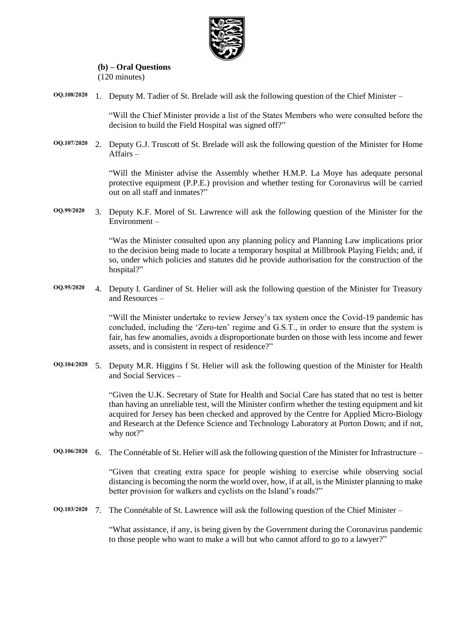

#### **(b) – Oral Questions** (120 minutes)

**OQ.108/2020** 1. Deputy M. Tadier of St. Brelade will ask the following question of the Chief Minister –

"Will the Chief Minister provide a list of the States Members who were consulted before the decision to build the Field Hospital was signed off?"

**OQ.107/2020** 2. Deputy G.J. Truscott of St. Brelade will ask the following question of the Minister for Home Affairs –

> "Will the Minister advise the Assembly whether H.M.P. La Moye has adequate personal protective equipment (P.P.E.) provision and whether testing for Coronavirus will be carried out on all staff and inmates?"

**OQ.99/2020** 3. Deputy K.F. Morel of St. Lawrence will ask the following question of the Minister for the Environment –

> "Was the Minister consulted upon any planning policy and Planning Law implications prior to the decision being made to locate a temporary hospital at Millbrook Playing Fields; and, if so, under which policies and statutes did he provide authorisation for the construction of the hospital?"

**OQ.95/2020** 4. Deputy I. Gardiner of St. Helier will ask the following question of the Minister for Treasury and Resources –

> "Will the Minister undertake to review Jersey's tax system once the Covid-19 pandemic has concluded, including the 'Zero-ten' regime and G.S.T., in order to ensure that the system is fair, has few anomalies, avoids a disproportionate burden on those with less income and fewer assets, and is consistent in respect of residence?"

**OQ.104/2020** 5. Deputy M.R. Higgins f St. Helier will ask the following question of the Minister for Health and Social Services –

> "Given the U.K. Secretary of State for Health and Social Care has stated that no test is better than having an unreliable test, will the Minister confirm whether the testing equipment and kit acquired for Jersey has been checked and approved by the Centre for Applied Micro-Biology and Research at the Defence Science and Technology Laboratory at Porton Down; and if not, why not?"

**OQ.106/2020** 6. The Connétable of St. Helier will ask the following question of the Minister for Infrastructure –

"Given that creating extra space for people wishing to exercise while observing social distancing is becoming the norm the world over, how, if at all, is the Minister planning to make better provision for walkers and cyclists on the Island's roads?"

**OQ.103/2020** 7. The Connétable of St. Lawrence will ask the following question of the Chief Minister –

"What assistance, if any, is being given by the Government during the Coronavirus pandemic to those people who want to make a will but who cannot afford to go to a lawyer?"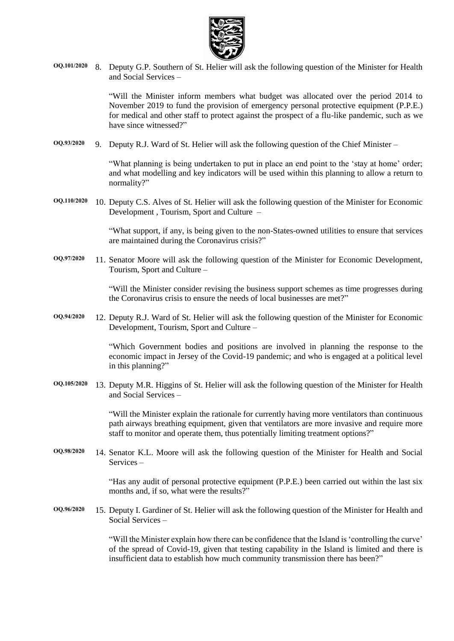

**OQ.101/2020** 8. Deputy G.P. Southern of St. Helier will ask the following question of the Minister for Health and Social Services –

> "Will the Minister inform members what budget was allocated over the period 2014 to November 2019 to fund the provision of emergency personal protective equipment (P.P.E.) for medical and other staff to protect against the prospect of a flu-like pandemic, such as we have since witnessed?"

**OQ.93/2020** 9. Deputy R.J. Ward of St. Helier will ask the following question of the Chief Minister –

"What planning is being undertaken to put in place an end point to the 'stay at home' order; and what modelling and key indicators will be used within this planning to allow a return to normality?"

**OQ.110/2020** 10. Deputy C.S. Alves of St. Helier will ask the following question of the Minister for Economic Development , Tourism, Sport and Culture –

> "What support, if any, is being given to the non-States-owned utilities to ensure that services are maintained during the Coronavirus crisis?"

**OQ.97/2020** 11. Senator Moore will ask the following question of the Minister for Economic Development, Tourism, Sport and Culture –

> "Will the Minister consider revising the business support schemes as time progresses during the Coronavirus crisis to ensure the needs of local businesses are met?"

**OQ.94/2020** 12. Deputy R.J. Ward of St. Helier will ask the following question of the Minister for Economic Development, Tourism, Sport and Culture –

> "Which Government bodies and positions are involved in planning the response to the economic impact in Jersey of the Covid-19 pandemic; and who is engaged at a political level in this planning?"

**OQ.105/2020** 13. Deputy M.R. Higgins of St. Helier will ask the following question of the Minister for Health and Social Services –

> "Will the Minister explain the rationale for currently having more ventilators than continuous path airways breathing equipment, given that ventilators are more invasive and require more staff to monitor and operate them, thus potentially limiting treatment options?"

**OQ.98/2020** 14. Senator K.L. Moore will ask the following question of the Minister for Health and Social Services –

> "Has any audit of personal protective equipment (P.P.E.) been carried out within the last six months and, if so, what were the results?"

**OQ.96/2020** 15. Deputy I. Gardiner of St. Helier will ask the following question of the Minister for Health and Social Services –

> "Will the Minister explain how there can be confidence that the Island is 'controlling the curve' of the spread of Covid-19, given that testing capability in the Island is limited and there is insufficient data to establish how much community transmission there has been?"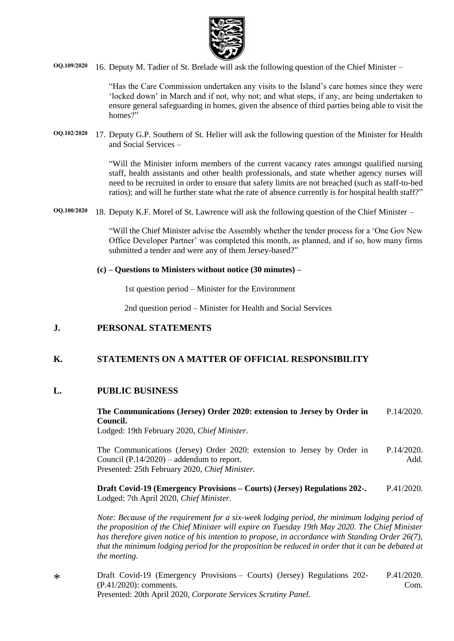

**OQ.109/2020** 16. Deputy M. Tadier of St. Brelade will ask the following question of the Chief Minister –

"Has the Care Commission undertaken any visits to the Island's care homes since they were 'locked down' in March and if not, why not; and what steps, if any, are being undertaken to ensure general safeguarding in homes, given the absence of third parties being able to visit the homes?"

**OQ.102/2020** 17. Deputy G.P. Southern of St. Helier will ask the following question of the Minister for Health and Social Services –

> "Will the Minister inform members of the current vacancy rates amongst qualified nursing staff, health assistants and other health professionals, and state whether agency nurses will need to be recruited in order to ensure that safety limits are not breached (such as staff-to-bed ratios); and will he further state what the rate of absence currently is for hospital health staff?"

**OQ.100/2020** 18. Deputy K.F. Morel of St. Lawrence will ask the following question of the Chief Minister –

"Will the Chief Minister advise the Assembly whether the tender process for a 'One Gov New Office Developer Partner' was completed this month, as planned, and if so, how many firms submitted a tender and were any of them Jersey-based?"

**(c) – Questions to Ministers without notice (30 minutes) –**

1st question period – Minister for the Environment

2nd question period – Minister for Health and Social Services

# **J. PERSONAL STATEMENTS**

# **K. STATEMENTS ON A MATTER OF OFFICIAL RESPONSIBILITY**

### **L. PUBLIC BUSINESS**

**[The Communications \(Jersey\) Order 2020: extension to Jersey by Order in](https://statesassembly.gov.je/assemblypropositions/2020/p.14-2020.pdf)  [Council.](https://statesassembly.gov.je/assemblypropositions/2020/p.14-2020.pdf)** [P.14/2020.](https://statesassembly.gov.je/assemblypropositions/2020/p.14-2020.pdf)

[Lodged: 19th February 2020,](https://statesassembly.gov.je/assemblypropositions/2020/p.14-2020.pdf) *Chief Minister.*

[The Communications \(Jersey\) Order 2020: extension to Jersey by Order in](https://statesassembly.gov.je/assemblypropositions/2020/p.14-2020add.pdf)  [Council \(P.14/2020\)](https://statesassembly.gov.je/assemblypropositions/2020/p.14-2020add.pdf) – addendum to report. [Presented: 25th February 2020,](https://statesassembly.gov.je/assemblypropositions/2020/p.14-2020add.pdf) *Chief Minister.* [P.14/2020.](https://statesassembly.gov.je/assemblypropositions/2020/p.14-2020add.pdf) [Add.](https://statesassembly.gov.je/assemblypropositions/2020/p.14-2020add.pdf)

**[Draft Covid-19 \(Emergency Provisions](https://statesassembly.gov.je/AssemblyPropositions/2020/P.41-2020.pdf) – Courts) (Jersey) Regulations 202-.** [Lodged: 7th April 2020,](https://statesassembly.gov.je/AssemblyPropositions/2020/P.41-2020.pdf) *Chief Minister.* [P.41/2020.](https://statesassembly.gov.je/AssemblyPropositions/2020/P.41-2020.pdf)

*Note: Because of the requirement for a six-week lodging period, the minimum lodging period of the proposition of the Chief Minister will expire on Tuesday 19th May 2020. The Chief Minister has therefore given notice of his intention to propose, in accordance with Standing Order 26(7), that the minimum lodging period for the proposition be reduced in order that it can be debated at the meeting.*

\* [Draft Covid-19 \(Emergency Provisions](https://statesassembly.gov.je/AssemblyPropositions/2020/P.41-2020Com.pdf) – Courts) (Jersey) Regulations 202- [\(P.41/2020\): comments.](https://statesassembly.gov.je/AssemblyPropositions/2020/P.41-2020Com.pdf) Presented: 20th April 2020, *[Corporate Services Scrutiny Panel.](https://statesassembly.gov.je/AssemblyPropositions/2020/P.41-2020Com.pdf)* [P.41/2020.](https://statesassembly.gov.je/AssemblyPropositions/2020/P.41-2020Com.pdf) [Com.](https://statesassembly.gov.je/AssemblyPropositions/2020/P.41-2020Com.pdf)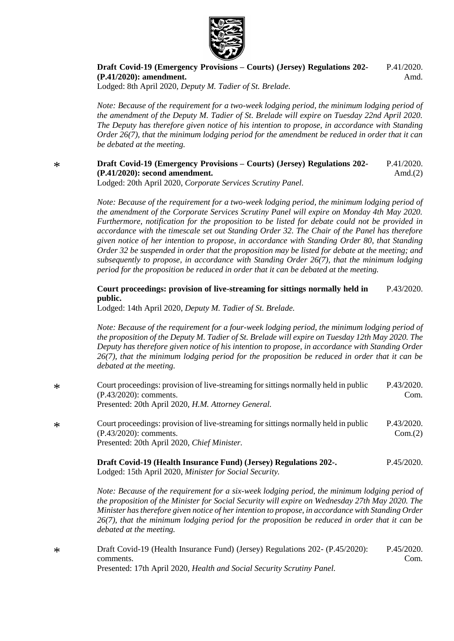

**[Draft Covid-19 \(Emergency Provisions](https://statesassembly.gov.je/AssemblyPropositions/2020/P.41-2020Amd.pdf) – Courts) (Jersey) Regulations 202- [\(P.41/2020\): amendment.](https://statesassembly.gov.je/AssemblyPropositions/2020/P.41-2020Amd.pdf)** [P.41/2020.](https://statesassembly.gov.je/AssemblyPropositions/2020/P.41-2020Amd.pdf) [Amd.](https://statesassembly.gov.je/AssemblyPropositions/2020/P.41-2020Amd.pdf)

[Lodged: 8th April 2020,](https://statesassembly.gov.je/AssemblyPropositions/2020/P.41-2020Amd.pdf) *Deputy M. Tadier of St. Brelade.*

*Note: Because of the requirement for a two-week lodging period, the minimum lodging period of the amendment of the Deputy M. Tadier of St. Brelade will expire on Tuesday 22nd April 2020. The Deputy has therefore given notice of his intention to propose, in accordance with Standing Order 26(7), that the minimum lodging period for the amendment be reduced in order that it can be debated at the meeting.*

#### \* **[Draft Covid-19 \(Emergency Provisions](https://statesassembly.gov.je/AssemblyPropositions/2020/P.41-2020Amd(2).pdf) – Courts) (Jersey) Regulations 202- [\(P.41/2020\): second amendment.](https://statesassembly.gov.je/AssemblyPropositions/2020/P.41-2020Amd(2).pdf)** [P.41/2020.](https://statesassembly.gov.je/AssemblyPropositions/2020/P.41-2020Amd(2).pdf) Amd. $(2)$

Lodged: 20th April 2020, *[Corporate Services Scrutiny Panel.](https://statesassembly.gov.je/AssemblyPropositions/2020/P.41-2020Amd(2).pdf)*

*Note: Because of the requirement for a two-week lodging period, the minimum lodging period of the amendment of the Corporate Services Scrutiny Panel will expire on Monday 4th May 2020. Furthermore, notification for the proposition to be listed for debate could not be provided in accordance with the timescale set out Standing Order 32. The Chair of the Panel has therefore given notice of her intention to propose, in accordance with Standing Order 80, that Standing Order 32 be suspended in order that the proposition may be listed for debate at the meeting; and subsequently to propose, in accordance with Standing Order 26(7), that the minimum lodging period for the proposition be reduced in order that it can be debated at the meeting.*

#### **[Court proceedings: provision of live-streaming for sittings normally held in](https://statesassembly.gov.je/AssemblyPropositions/2020/P.43-2020.pdf)  [public.](https://statesassembly.gov.je/AssemblyPropositions/2020/P.43-2020.pdf)** [P.43/2020.](https://statesassembly.gov.je/AssemblyPropositions/2020/P.43-2020.pdf)

[Lodged: 14th April 2020,](https://statesassembly.gov.je/AssemblyPropositions/2020/P.43-2020.pdf) *Deputy M. Tadier of St. Brelade.*

*Note: Because of the requirement for a four-week lodging period, the minimum lodging period of the proposition of the Deputy M. Tadier of St. Brelade will expire on Tuesday 12th May 2020. The Deputy has therefore given notice of his intention to propose, in accordance with Standing Order 26(7), that the minimum lodging period for the proposition be reduced in order that it can be debated at the meeting.*

| $\ast$ | Court proceedings: provision of live-streaming for sittings normally held in public<br>$(P.43/2020)$ : comments.                                                | P.43/2020.<br>Com.    |
|--------|-----------------------------------------------------------------------------------------------------------------------------------------------------------------|-----------------------|
|        | Presented: 20th April 2020, H.M. Attorney General.                                                                                                              |                       |
| $\ast$ | Court proceedings: provision of live-streaming for sittings normally held in public<br>$(P.43/2020)$ : comments.<br>Presented: 20th April 2020, Chief Minister. | P.43/2020.<br>Com.(2) |
|        | Draft Covid-19 (Health Insurance Fund) (Jersey) Regulations 202-.                                                                                               | P.45/2020.            |

Lodged: 15th April 2020, *[Minister for Social Security.](https://statesassembly.gov.je/AssemblyPropositions/2020/P.45-2020.pdf)*

*Note: Because of the requirement for a six-week lodging period, the minimum lodging period of the proposition of the Minister for Social Security will expire on Wednesday 27th May 2020. The Minister has therefore given notice of her intention to propose, in accordance with Standing Order 26(7), that the minimum lodging period for the proposition be reduced in order that it can be debated at the meeting.*

\* Draft Covid-19 [\(Health Insurance Fund\) \(Jersey\) Regulations 202-](https://www.jerseylaw.je/laws/enacted/Pages/RO-043-2020.aspx) (P.45/2020): [comments.](https://www.jerseylaw.je/laws/enacted/Pages/RO-043-2020.aspx) Presented: 17th April 2020, *[Health and Social Security Scrutiny Panel.](https://www.jerseylaw.je/laws/enacted/Pages/RO-043-2020.aspx)* [P.45/2020.](https://www.jerseylaw.je/laws/enacted/Pages/RO-043-2020.aspx) [Com.](https://www.jerseylaw.je/laws/enacted/Pages/RO-043-2020.aspx)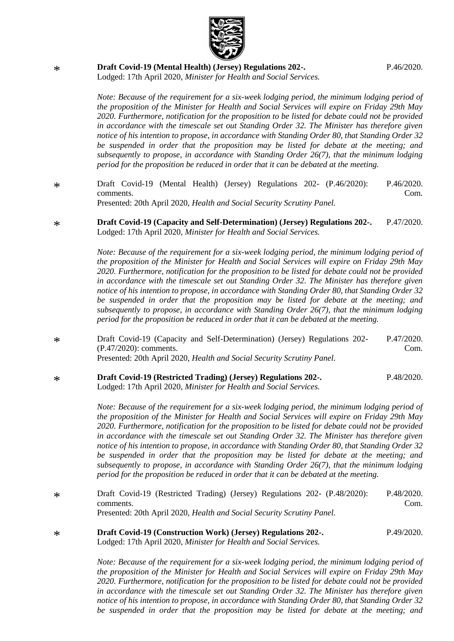

\* **[Draft Covid-19 \(Mental Health\) \(Jersey\) Regulations 202-.](https://statesassembly.gov.je/AssemblyPropositions/2020/P.46-2020.pdf)** [P.46/2020.](https://statesassembly.gov.je/AssemblyPropositions/2020/P.46-2020.pdf)

Lodged: 17th April 2020, *[Minister for Health and Social Services.](https://statesassembly.gov.je/AssemblyPropositions/2020/P.46-2020.pdf)*

*Note: Because of the requirement for a six-week lodging period, the minimum lodging period of the proposition of the Minister for Health and Social Services will expire on Friday 29th May 2020. Furthermore, notification for the proposition to be listed for debate could not be provided in accordance with the timescale set out Standing Order 32. The Minister has therefore given notice of his intention to propose, in accordance with Standing Order 80, that Standing Order 32 be suspended in order that the proposition may be listed for debate at the meeting; and subsequently to propose, in accordance with Standing Order 26(7), that the minimum lodging period for the proposition be reduced in order that it can be debated at the meeting.*

- \* [Draft Covid-19 \(Mental Health\) \(Jersey\) Regulations 202-](https://statesassembly.gov.je/AssemblyPropositions/2020/P.46-2020Com.pdf) (P.46/2020): [comments.](https://statesassembly.gov.je/AssemblyPropositions/2020/P.46-2020Com.pdf) Presented: 20th April 2020, *[Health and Social Security Scrutiny Panel.](https://statesassembly.gov.je/AssemblyPropositions/2020/P.46-2020Com.pdf)* [P.46/2020.](https://statesassembly.gov.je/AssemblyPropositions/2020/P.46-2020Com.pdf) [Com.](https://statesassembly.gov.je/AssemblyPropositions/2020/P.46-2020Com.pdf)
- \* **[Draft Covid-19 \(Capacity and Self-Determination\) \(Jersey\) Regulations 202-.](https://statesassembly.gov.je/AssemblyPropositions/2020/P.47-2020.pdf)** Lodged: 17th April 2020, *[Minister for Health and Social Services.](https://statesassembly.gov.je/AssemblyPropositions/2020/P.47-2020.pdf)* [P.47/2020.](https://statesassembly.gov.je/AssemblyPropositions/2020/P.47-2020.pdf)

*Note: Because of the requirement for a six-week lodging period, the minimum lodging period of the proposition of the Minister for Health and Social Services will expire on Friday 29th May 2020. Furthermore, notification for the proposition to be listed for debate could not be provided in accordance with the timescale set out Standing Order 32. The Minister has therefore given notice of his intention to propose, in accordance with Standing Order 80, that Standing Order 32 be suspended in order that the proposition may be listed for debate at the meeting; and subsequently to propose, in accordance with Standing Order 26(7), that the minimum lodging period for the proposition be reduced in order that it can be debated at the meeting.*

- \* [Draft Covid-19 \(Capacity and Self-Determination\) \(Jersey\) Regulations 202-](https://statesassembly.gov.je/AssemblyPropositions/2020/P.47-2020Com.pdf) [\(P.47/2020\): comments.](https://statesassembly.gov.je/AssemblyPropositions/2020/P.47-2020Com.pdf) Presented: 20th April 2020, *[Health and Social Security Scrutiny Panel.](https://statesassembly.gov.je/AssemblyPropositions/2020/P.47-2020Com.pdf)* [P.47/2020.](https://statesassembly.gov.je/AssemblyPropositions/2020/P.47-2020Com.pdf) [Com.](https://statesassembly.gov.je/AssemblyPropositions/2020/P.47-2020Com.pdf)
- \* **[Draft Covid-19 \(Restricted Trading\) \(Jersey\) Regulations 202-.](https://statesassembly.gov.je/AssemblyPropositions/2020/P.48-2020.pdf)** Lodged: 17th April 2020, *[Minister for Health and Social Services.](https://statesassembly.gov.je/AssemblyPropositions/2020/P.48-2020.pdf)* [P.48/2020.](https://statesassembly.gov.je/AssemblyPropositions/2020/P.48-2020.pdf)

*Note: Because of the requirement for a six-week lodging period, the minimum lodging period of the proposition of the Minister for Health and Social Services will expire on Friday 29th May 2020. Furthermore, notification for the proposition to be listed for debate could not be provided in accordance with the timescale set out Standing Order 32. The Minister has therefore given notice of his intention to propose, in accordance with Standing Order 80, that Standing Order 32 be suspended in order that the proposition may be listed for debate at the meeting; and subsequently to propose, in accordance with Standing Order 26(7), that the minimum lodging period for the proposition be reduced in order that it can be debated at the meeting.*

- \* [Draft Covid-19 \(Restricted Trading\) \(Jersey\) Regulations 202-](https://statesassembly.gov.je/AssemblyPropositions/2020/P.48-2020Com.pdf) (P.48/2020): [comments.](https://statesassembly.gov.je/AssemblyPropositions/2020/P.48-2020Com.pdf) Presented: 20th April 2020, *[Health and Social Security Scrutiny Panel.](https://statesassembly.gov.je/AssemblyPropositions/2020/P.48-2020Com.pdf)* [P.48/2020.](https://statesassembly.gov.je/AssemblyPropositions/2020/P.48-2020Com.pdf) [Com.](https://statesassembly.gov.je/AssemblyPropositions/2020/P.48-2020Com.pdf)
- \* **[Draft Covid-19 \(Construction Work\) \(Jersey\) Regulations 202-.](https://statesassembly.gov.je/AssemblyPropositions/2020/P.49-2020.pdf)** Lodged: 17th April 2020, *[Minister for Health and Social Services.](https://statesassembly.gov.je/AssemblyPropositions/2020/P.49-2020.pdf)* [P.49/2020.](https://statesassembly.gov.je/AssemblyPropositions/2020/P.49-2020.pdf)

*Note: Because of the requirement for a six-week lodging period, the minimum lodging period of the proposition of the Minister for Health and Social Services will expire on Friday 29th May 2020. Furthermore, notification for the proposition to be listed for debate could not be provided in accordance with the timescale set out Standing Order 32. The Minister has therefore given notice of his intention to propose, in accordance with Standing Order 80, that Standing Order 32 be suspended in order that the proposition may be listed for debate at the meeting; and*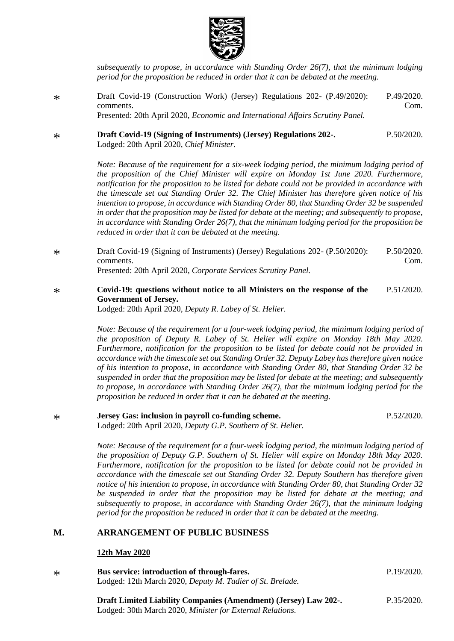

*subsequently to propose, in accordance with Standing Order 26(7), that the minimum lodging period for the proposition be reduced in order that it can be debated at the meeting.*

- \* [Draft Covid-19 \(Construction Work\) \(Jersey\) Regulations 202-](https://statesassembly.gov.je/AssemblyPropositions/2020/P.49-2020Com.pdf) (P.49/2020): [comments.](https://statesassembly.gov.je/AssemblyPropositions/2020/P.49-2020Com.pdf) Presented: 20th April 2020, *[Economic and International Affairs Scrutiny Panel.](https://statesassembly.gov.je/AssemblyPropositions/2020/P.49-2020Com.pdf)* [P.49/2020.](https://statesassembly.gov.je/AssemblyPropositions/2020/P.49-2020Com.pdf) [Com.](https://statesassembly.gov.je/AssemblyPropositions/2020/P.49-2020Com.pdf)
- \* **[Draft Covid-19 \(Signing of Instruments\) \(Jersey\) Regulations 202-.](https://statesassembly.gov.je/AssemblyPropositions/2020/P.50-2020.pdf)** [P.50/2020.](https://statesassembly.gov.je/AssemblyPropositions/2020/P.50-2020.pdf)

[Lodged: 20th April 2020,](https://statesassembly.gov.je/AssemblyPropositions/2020/P.50-2020.pdf) *Chief Minister.*

*Note: Because of the requirement for a six-week lodging period, the minimum lodging period of the proposition of the Chief Minister will expire on Monday 1st June 2020. Furthermore, notification for the proposition to be listed for debate could not be provided in accordance with the timescale set out Standing Order 32. The Chief Minister has therefore given notice of his intention to propose, in accordance with Standing Order 80, that Standing Order 32 be suspended in order that the proposition may be listed for debate at the meeting; and subsequently to propose, in accordance with Standing Order 26(7), that the minimum lodging period for the proposition be reduced in order that it can be debated at the meeting.*

\* [Draft Covid-19 \(Signing of Instruments\) \(Jersey\) Regulations 202-](https://statesassembly.gov.je/AssemblyPropositions/2020/P.50-2020Com.pdf) (P.50/2020): [comments.](https://statesassembly.gov.je/AssemblyPropositions/2020/P.50-2020Com.pdf) Presented: 20th April 2020, *[Corporate Services Scrutiny Panel.](https://statesassembly.gov.je/AssemblyPropositions/2020/P.50-2020Com.pdf)* [P.50/2020.](https://statesassembly.gov.je/AssemblyPropositions/2020/P.50-2020Com.pdf) [Com.](https://statesassembly.gov.je/AssemblyPropositions/2020/P.50-2020Com.pdf)

#### \* **[Covid-19: questions without notice to all Ministers on the response of the](https://statesassembly.gov.je/AssemblyPropositions/2020/P.51-2020.pdf)  [Government of Jersey.](https://statesassembly.gov.je/AssemblyPropositions/2020/P.51-2020.pdf)** [P.51/2020.](https://statesassembly.gov.je/AssemblyPropositions/2020/P.51-2020.pdf)

[Lodged: 20th April 2020,](https://statesassembly.gov.je/AssemblyPropositions/2020/P.51-2020.pdf) *Deputy R. Labey of St. Helier.*

*Note: Because of the requirement for a four-week lodging period, the minimum lodging period of the proposition of Deputy R. Labey of St. Helier will expire on Monday 18th May 2020. Furthermore, notification for the proposition to be listed for debate could not be provided in accordance with the timescale set out Standing Order 32. Deputy Labey has therefore given notice of his intention to propose, in accordance with Standing Order 80, that Standing Order 32 be suspended in order that the proposition may be listed for debate at the meeting; and subsequently to propose, in accordance with Standing Order 26(7), that the minimum lodging period for the proposition be reduced in order that it can be debated at the meeting.*

\* **[Jersey Gas: inclusion in payroll co-funding scheme.](https://statesassembly.gov.je/AssemblyPropositions/2020/P.52-2020.pdf)** Lodged: 20th April 2020, *[Deputy G.P. Southern of St.](https://statesassembly.gov.je/AssemblyPropositions/2020/P.52-2020.pdf) Helier.*

> *Note: Because of the requirement for a four-week lodging period, the minimum lodging period of the proposition of Deputy G.P. Southern of St. Helier will expire on Monday 18th May 2020. Furthermore, notification for the proposition to be listed for debate could not be provided in accordance with the timescale set out Standing Order 32. Deputy Southern has therefore given notice of his intention to propose, in accordance with Standing Order 80, that Standing Order 32 be suspended in order that the proposition may be listed for debate at the meeting; and subsequently to propose, in accordance with Standing Order 26(7), that the minimum lodging period for the proposition be reduced in order that it can be debated at the meeting.*

# **M. ARRANGEMENT OF PUBLIC BUSINESS**

### **12th May 2020**

\* **[Bus service: introduction of through-fares.](https://statesassembly.gov.je/AssemblyPropositions/2020/P.19-2020.pdf)** [Lodged: 12th March 2020,](https://statesassembly.gov.je/AssemblyPropositions/2020/P.19-2020.pdf) *Deputy M. Tadier of St. Brelade.*

> **Draft Limited Liability Companies [\(Amendment\)](https://statesassembly.gov.je/assemblypropositions/2020/p.35-2020.pdf) (Jersey) Law 202-.** Lodged: 30th March 2020, *Minister for External [Relations.](https://statesassembly.gov.je/assemblypropositions/2020/p.35-2020.pdf)*

[P.19/2020.](https://statesassembly.gov.je/AssemblyPropositions/2020/P.19-2020.pdf)

[P.52/2020.](https://statesassembly.gov.je/AssemblyPropositions/2020/P.52-2020.pdf)

[P.35/2020.](https://statesassembly.gov.je/assemblypropositions/2020/p.35-2020.pdf)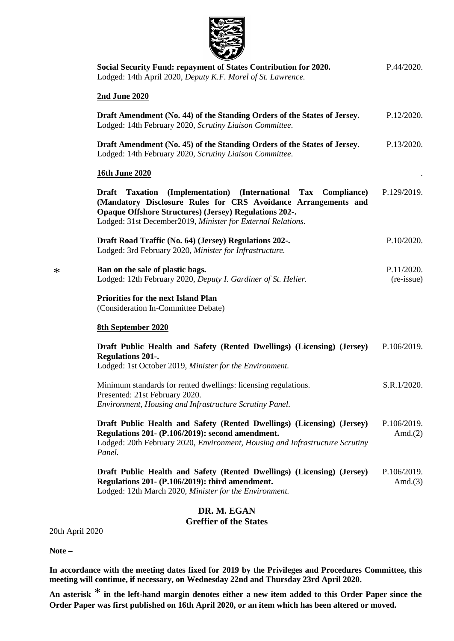

| Social Security Fund: repayment of States Contribution for 2020.<br>Lodged: 14th April 2020, Deputy K.F. Morel of St. Lawrence.                                                                                                                                                      | P.44/2020.                |
|--------------------------------------------------------------------------------------------------------------------------------------------------------------------------------------------------------------------------------------------------------------------------------------|---------------------------|
| <b>2nd June 2020</b>                                                                                                                                                                                                                                                                 |                           |
| Draft Amendment (No. 44) of the Standing Orders of the States of Jersey.<br>Lodged: 14th February 2020, Scrutiny Liaison Committee.                                                                                                                                                  | P.12/2020.                |
| Draft Amendment (No. 45) of the Standing Orders of the States of Jersey.<br>Lodged: 14th February 2020, Scrutiny Liaison Committee.                                                                                                                                                  | P.13/2020.                |
| <b>16th June 2020</b>                                                                                                                                                                                                                                                                |                           |
| (Implementation) (International Tax Compliance)<br><b>Draft</b><br><b>Taxation</b><br>(Mandatory Disclosure Rules for CRS Avoidance Arrangements and<br><b>Opaque Offshore Structures) (Jersey) Regulations 202-.</b><br>Lodged: 31st December2019, Minister for External Relations. | P.129/2019.               |
| Draft Road Traffic (No. 64) (Jersey) Regulations 202-.<br>Lodged: 3rd February 2020, Minister for Infrastructure.                                                                                                                                                                    | P.10/2020.                |
| Ban on the sale of plastic bags.<br>Lodged: 12th February 2020, Deputy I. Gardiner of St. Helier.                                                                                                                                                                                    | P.11/2020.<br>(re-issue)  |
| <b>Priorities for the next Island Plan</b><br>(Consideration In-Committee Debate)                                                                                                                                                                                                    |                           |
| <b>8th September 2020</b>                                                                                                                                                                                                                                                            |                           |
| Draft Public Health and Safety (Rented Dwellings) (Licensing) (Jersey)<br><b>Regulations 201-.</b><br>Lodged: 1st October 2019, Minister for the Environment.                                                                                                                        | P.106/2019.               |
| Minimum standards for rented dwellings: licensing regulations.<br>Presented: 21st February 2020.<br>Environment, Housing and Infrastructure Scrutiny Panel.                                                                                                                          | S.R.1/2020.               |
| Draft Public Health and Safety (Rented Dwellings) (Licensing) (Jersey)<br>Regulations 201- (P.106/2019): second amendment.<br>Lodged: 20th February 2020, Environment, Housing and Infrastructure Scrutiny<br>Panel.                                                                 | P.106/2019.<br>Amd. $(2)$ |
| Draft Public Health and Safety (Rented Dwellings) (Licensing) (Jersey)<br>Regulations 201- (P.106/2019): third amendment.<br>Lodged: 12th March 2020, Minister for the Environment.                                                                                                  | P.106/2019.<br>Amd. $(3)$ |
|                                                                                                                                                                                                                                                                                      |                           |

### **DR. M. EGAN Greffier of the States**

20th April 2020

**Note –**

\*

**In accordance with the meeting dates fixed for 2019 by the Privileges and Procedures Committee, this meeting will continue, if necessary, on Wednesday 22nd and Thursday 23rd April 2020.**

**An asterisk** \* **in the left-hand margin denotes either a new item added to this Order Paper since the Order Paper was first published on 16th April 2020, or an item which has been altered or moved.**